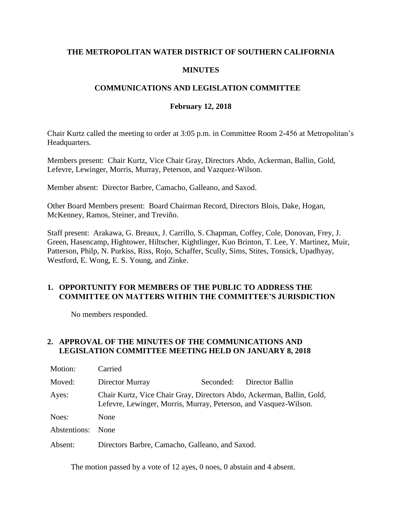## **THE METROPOLITAN WATER DISTRICT OF SOUTHERN CALIFORNIA**

### **MINUTES**

## **COMMUNICATIONS AND LEGISLATION COMMITTEE**

### **February 12, 2018**

Chair Kurtz called the meeting to order at 3:05 p.m. in Committee Room 2-456 at Metropolitan's Headquarters.

Members present: Chair Kurtz, Vice Chair Gray, Directors Abdo, Ackerman, Ballin, Gold, Lefevre, Lewinger, Morris, Murray, Peterson, and Vazquez-Wilson.

Member absent: Director Barbre, Camacho, Galleano, and Saxod.

Other Board Members present: Board Chairman Record, Directors Blois, Dake, Hogan, McKenney, Ramos, Steiner, and Treviño.

Staff present: Arakawa, G. Breaux, J. Carrillo, S. Chapman, Coffey, Cole, Donovan, Frey, J. Green, Hasencamp, Hightower, Hiltscher, Kightlinger, Kuo Brinton, T. Lee, Y. Martinez, Muir, Patterson, Philp, N. Purkiss, Riss, Rojo, Schaffer, Scully, Sims, Stites, Tonsick, Upadhyay, Westford, E. Wong, E. S. Young, and Zinke.

### **1. OPPORTUNITY FOR MEMBERS OF THE PUBLIC TO ADDRESS THE COMMITTEE ON MATTERS WITHIN THE COMMITTEE'S JURISDICTION**

No members responded.

### **2. APPROVAL OF THE MINUTES OF THE COMMUNICATIONS AND LEGISLATION COMMITTEE MEETING HELD ON JANUARY 8, 2018**

| Motion:      | Carried                                                                                                                                   |           |                 |  |
|--------------|-------------------------------------------------------------------------------------------------------------------------------------------|-----------|-----------------|--|
| Moved:       | Director Murray                                                                                                                           | Seconded: | Director Ballin |  |
| Ayes:        | Chair Kurtz, Vice Chair Gray, Directors Abdo, Ackerman, Ballin, Gold,<br>Lefevre, Lewinger, Morris, Murray, Peterson, and Vasquez-Wilson. |           |                 |  |
| Noes:        | None                                                                                                                                      |           |                 |  |
| Abstentions: | <b>None</b>                                                                                                                               |           |                 |  |
| Absent:      | Directors Barbre, Camacho, Galleano, and Saxod.                                                                                           |           |                 |  |

The motion passed by a vote of 12 ayes, 0 noes, 0 abstain and 4 absent.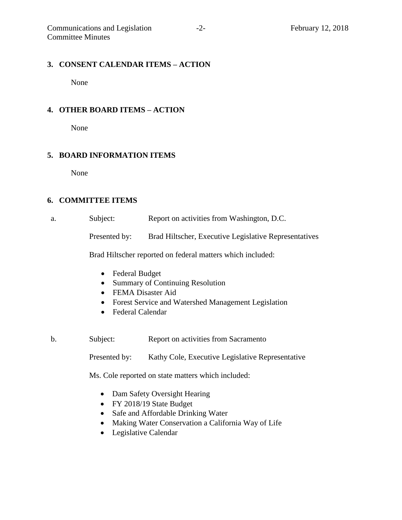### **3. CONSENT CALENDAR ITEMS – ACTION**

None

### **4. OTHER BOARD ITEMS – ACTION**

None

### **5. BOARD INFORMATION ITEMS**

None

### **6. COMMITTEE ITEMS**

| Report on activities from Washington, D.C.<br>Subject: |  |
|--------------------------------------------------------|--|
|--------------------------------------------------------|--|

Presented by: Brad Hiltscher, Executive Legislative Representatives

Brad Hiltscher reported on federal matters which included:

- Federal Budget
- Summary of Continuing Resolution
- FEMA Disaster Aid
- Forest Service and Watershed Management Legislation
- Federal Calendar
- b. Subject: Report on activities from Sacramento

Presented by: Kathy Cole, Executive Legislative Representative

Ms. Cole reported on state matters which included:

- Dam Safety Oversight Hearing
- FY 2018/19 State Budget
- Safe and Affordable Drinking Water
- Making Water Conservation a California Way of Life
- Legislative Calendar